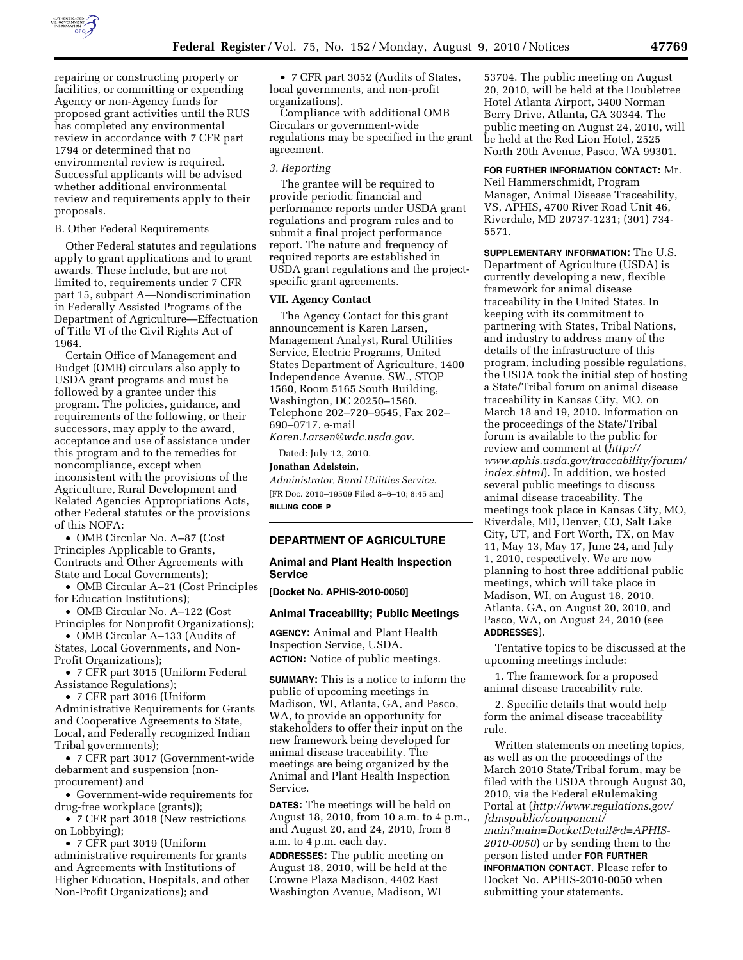

repairing or constructing property or facilities, or committing or expending Agency or non-Agency funds for proposed grant activities until the RUS has completed any environmental review in accordance with 7 CFR part 1794 or determined that no environmental review is required. Successful applicants will be advised whether additional environmental review and requirements apply to their proposals.

### B. Other Federal Requirements

Other Federal statutes and regulations apply to grant applications and to grant awards. These include, but are not limited to, requirements under 7 CFR part 15, subpart A—Nondiscrimination in Federally Assisted Programs of the Department of Agriculture—Effectuation of Title VI of the Civil Rights Act of 1964.

Certain Office of Management and Budget (OMB) circulars also apply to USDA grant programs and must be followed by a grantee under this program. The policies, guidance, and requirements of the following, or their successors, may apply to the award, acceptance and use of assistance under this program and to the remedies for noncompliance, except when inconsistent with the provisions of the Agriculture, Rural Development and Related Agencies Appropriations Acts, other Federal statutes or the provisions of this NOFA:

• OMB Circular No. A–87 (Cost Principles Applicable to Grants, Contracts and Other Agreements with State and Local Governments);

• OMB Circular A–21 (Cost Principles for Education Institutions);

• OMB Circular No. A–122 (Cost Principles for Nonprofit Organizations);

• OMB Circular A–133 (Audits of States, Local Governments, and Non-Profit Organizations);

• 7 CFR part 3015 (Uniform Federal Assistance Regulations);

• 7 CFR part 3016 (Uniform Administrative Requirements for Grants and Cooperative Agreements to State, Local, and Federally recognized Indian Tribal governments);

• 7 CFR part 3017 (Government-wide debarment and suspension (nonprocurement) and

• Government-wide requirements for drug-free workplace (grants));

• 7 CFR part 3018 (New restrictions on Lobbying);

• 7 CFR part 3019 (Uniform administrative requirements for grants and Agreements with Institutions of Higher Education, Hospitals, and other Non-Profit Organizations); and

• 7 CFR part 3052 (Audits of States, local governments, and non-profit organizations).

Compliance with additional OMB Circulars or government-wide regulations may be specified in the grant agreement.

### *3. Reporting*

The grantee will be required to provide periodic financial and performance reports under USDA grant regulations and program rules and to submit a final project performance report. The nature and frequency of required reports are established in USDA grant regulations and the projectspecific grant agreements.

## **VII. Agency Contact**

The Agency Contact for this grant announcement is Karen Larsen, Management Analyst, Rural Utilities Service, Electric Programs, United States Department of Agriculture, 1400 Independence Avenue, SW., STOP 1560, Room 5165 South Building, Washington, DC 20250–1560. Telephone 202–720–9545, Fax 202– 690–0717, e-mail *[Karen.Larsen@wdc.usda.gov.](mailto:Karen.Larsen@wdc.usda.gov)* 

Dated: July 12, 2010.

**Jonathan Adelstein,** 

*Administrator, Rural Utilities Service.*  [FR Doc. 2010–19509 Filed 8–6–10; 8:45 am] **BILLING CODE P** 

# **DEPARTMENT OF AGRICULTURE**

## **Animal and Plant Health Inspection Service**

**[Docket No. APHIS-2010-0050]** 

### **Animal Traceability; Public Meetings**

**AGENCY:** Animal and Plant Health Inspection Service, USDA. **ACTION:** Notice of public meetings.

**SUMMARY:** This is a notice to inform the public of upcoming meetings in Madison, WI, Atlanta, GA, and Pasco, WA, to provide an opportunity for stakeholders to offer their input on the new framework being developed for animal disease traceability. The meetings are being organized by the Animal and Plant Health Inspection Service.

**DATES:** The meetings will be held on August 18, 2010, from 10 a.m. to 4 p.m., and August 20, and 24, 2010, from 8 a.m. to 4 p.m. each day.

**ADDRESSES:** The public meeting on August 18, 2010, will be held at the Crowne Plaza Madison, 4402 East Washington Avenue, Madison, WI

53704. The public meeting on August 20, 2010, will be held at the Doubletree Hotel Atlanta Airport, 3400 Norman Berry Drive, Atlanta, GA 30344. The public meeting on August 24, 2010, will be held at the Red Lion Hotel, 2525 North 20th Avenue, Pasco, WA 99301.

# **FOR FURTHER INFORMATION CONTACT:** Mr. Neil Hammerschmidt, Program Manager, Animal Disease Traceability, VS, APHIS, 4700 River Road Unit 46, Riverdale, MD 20737-1231; (301) 734- 5571.

**SUPPLEMENTARY INFORMATION:** The U.S. Department of Agriculture (USDA) is currently developing a new, flexible framework for animal disease traceability in the United States. In keeping with its commitment to partnering with States, Tribal Nations, and industry to address many of the details of the infrastructure of this program, including possible regulations, the USDA took the initial step of hosting a State/Tribal forum on animal disease traceability in Kansas City, MO, on March 18 and 19, 2010. Information on the proceedings of the State/Tribal forum is available to the public for review and comment at (*[http://](http://www.aphis.usda.gov/traceability/forum/index.shtml)  [www.aphis.usda.gov/traceability/forum/](http://www.aphis.usda.gov/traceability/forum/index.shtml) [index.shtml](http://www.aphis.usda.gov/traceability/forum/index.shtml)*). In addition, we hosted several public meetings to discuss animal disease traceability. The meetings took place in Kansas City, MO, Riverdale, MD, Denver, CO, Salt Lake City, UT, and Fort Worth, TX, on May 11, May 13, May 17, June 24, and July 1, 2010, respectively. We are now planning to host three additional public meetings, which will take place in Madison, WI, on August 18, 2010, Atlanta, GA, on August 20, 2010, and Pasco, WA, on August 24, 2010 (see **ADDRESSES**).

Tentative topics to be discussed at the upcoming meetings include:

1. The framework for a proposed animal disease traceability rule.

2. Specific details that would help form the animal disease traceability rule.

Written statements on meeting topics, as well as on the proceedings of the March 2010 State/Tribal forum, may be filed with the USDA through August 30, 2010, via the Federal eRulemaking Portal at (*[http://www.regulations.gov/](http://www.regulations.gov/fdmspublic/component/main?main=DocketDetail&d=APHIS-2010-0050)  [fdmspublic/component/](http://www.regulations.gov/fdmspublic/component/main?main=DocketDetail&d=APHIS-2010-0050) [main?main=DocketDetail&d=APHIS-](http://www.regulations.gov/fdmspublic/component/main?main=DocketDetail&d=APHIS-2010-0050)[2010-0050](http://www.regulations.gov/fdmspublic/component/main?main=DocketDetail&d=APHIS-2010-0050)*) or by sending them to the person listed under **FOR FURTHER INFORMATION CONTACT**. Please refer to Docket No. APHIS-2010-0050 when submitting your statements.